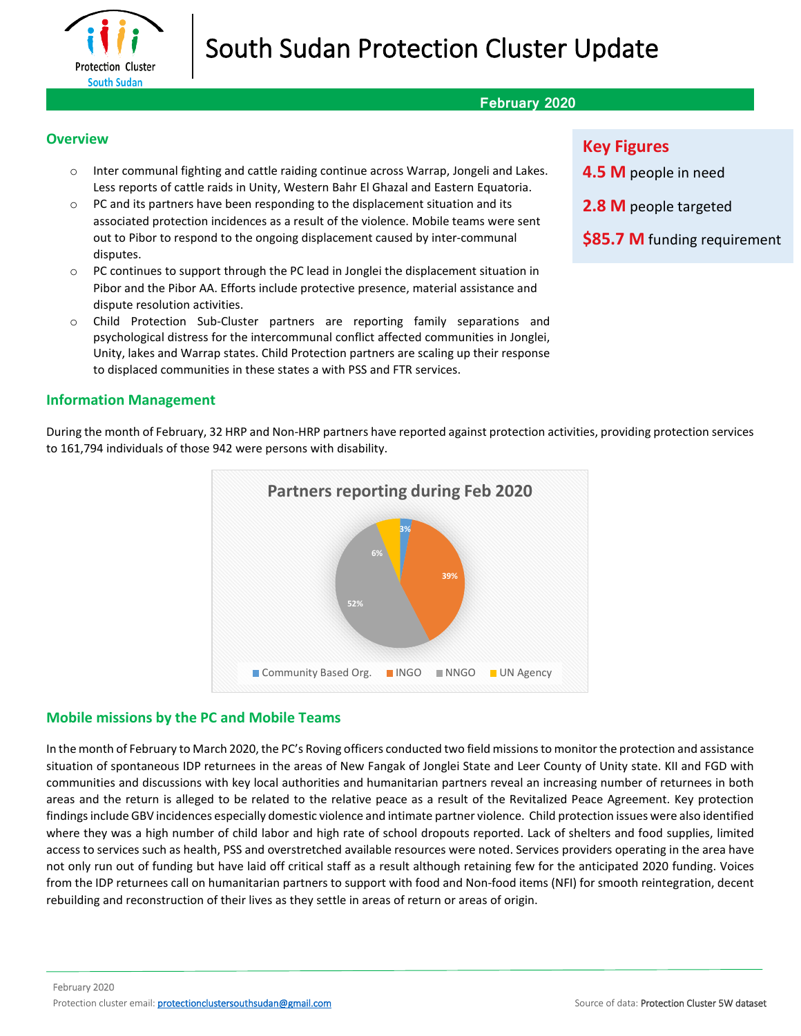

# South Sudan Protection Cluster Update

## **February 2020**

#### **Overview**

- o Inter communal fighting and cattle raiding continue across Warrap, Jongeli and Lakes. Less reports of cattle raids in Unity, Western Bahr El Ghazal and Eastern Equatoria.
- $\circ$  PC and its partners have been responding to the displacement situation and its associated protection incidences as a result of the violence. Mobile teams were sent out to Pibor to respond to the ongoing displacement caused by inter-communal disputes.
- $\circ$  PC continues to support through the PC lead in Jonglei the displacement situation in Pibor and the Pibor AA. Efforts include protective presence, material assistance and dispute resolution activities.
- o Child Protection Sub-Cluster partners are reporting family separations and psychological distress for the intercommunal conflict affected communities in Jonglei, Unity, lakes and Warrap states. Child Protection partners are scaling up their response to displaced communities in these states a with PSS and FTR services.

#### **Information Management**

During the month of February, 32 HRP and Non-HRP partners have reported against protection activities, providing protection services to 161,794 individuals of those 942 were persons with disability.



## **Mobile missions by the PC and Mobile Teams**

In the month of February to March 2020, the PC's Roving officers conducted two field missions to monitor the protection and assistance situation of spontaneous IDP returnees in the areas of New Fangak of Jonglei State and Leer County of Unity state. KII and FGD with communities and discussions with key local authorities and humanitarian partners reveal an increasing number of returnees in both areas and the return is alleged to be related to the relative peace as a result of the Revitalized Peace Agreement. Key protection findings include GBV incidences especially domestic violence and intimate partner violence. Child protection issues were also identified where they was a high number of child labor and high rate of school dropouts reported. Lack of shelters and food supplies, limited access to services such as health, PSS and overstretched available resources were noted. Services providers operating in the area have not only run out of funding but have laid off critical staff as a result although retaining few for the anticipated 2020 funding. Voices from the IDP returnees call on humanitarian partners to support with food and Non-food items (NFI) for smooth reintegration, decent rebuilding and reconstruction of their lives as they settle in areas of return or areas of origin.

## **Key Figures**

- **4.5 M** people in need
- **2.8 M** people targeted
- **\$85.7 M** funding requirement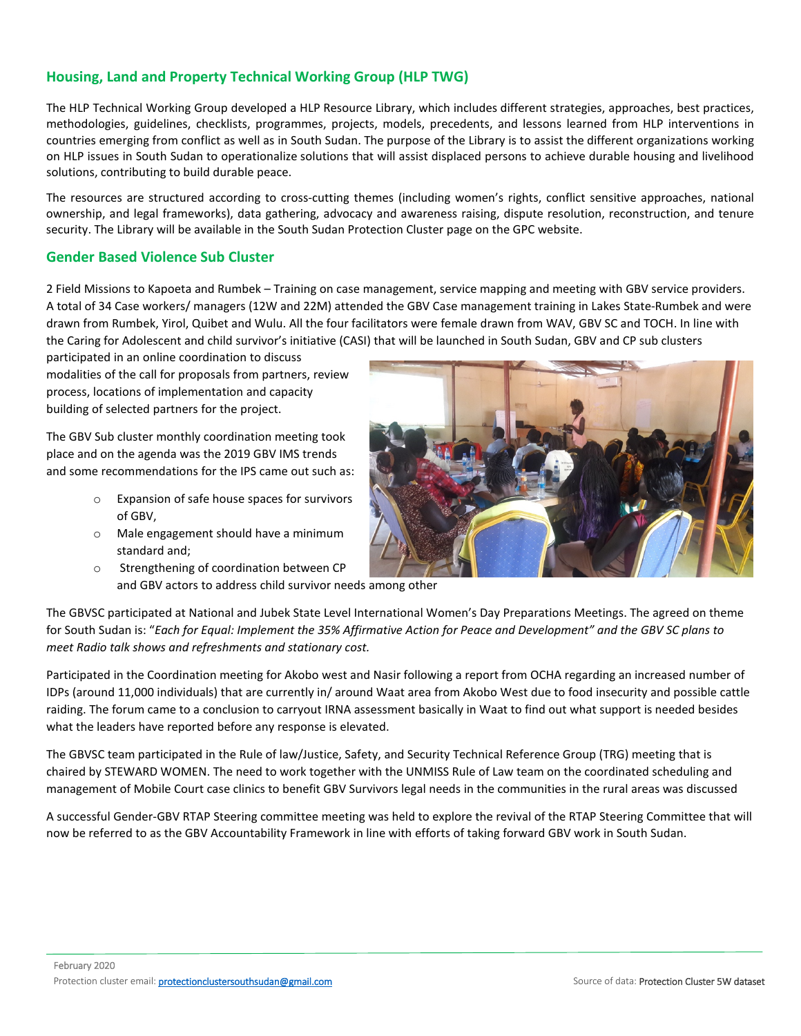## **Housing, Land and Property Technical Working Group (HLP TWG)**

The HLP Technical Working Group developed a HLP Resource Library, which includes different strategies, approaches, best practices, methodologies, guidelines, checklists, programmes, projects, models, precedents, and lessons learned from HLP interventions in countries emerging from conflict as well as in South Sudan. The purpose of the Library is to assist the different organizations working on HLP issues in South Sudan to operationalize solutions that will assist displaced persons to achieve durable housing and livelihood solutions, contributing to build durable peace.

The resources are structured according to cross-cutting themes (including women's rights, conflict sensitive approaches, national ownership, and legal frameworks), data gathering, advocacy and awareness raising, dispute resolution, reconstruction, and tenure security. The Library will be available in the South Sudan Protection Cluster page on the GPC website.

## **Gender Based Violence Sub Cluster**

2 Field Missions to Kapoeta and Rumbek – Training on case management, service mapping and meeting with GBV service providers. A total of 34 Case workers/ managers (12W and 22M) attended the GBV Case management training in Lakes State-Rumbek and were drawn from Rumbek, Yirol, Quibet and Wulu. All the four facilitators were female drawn from WAV, GBV SC and TOCH. In line with the Caring for Adolescent and child survivor's initiative (CASI) that will be launched in South Sudan, GBV and CP sub clusters

participated in an online coordination to discuss modalities of the call for proposals from partners, review process, locations of implementation and capacity building of selected partners for the project.

The GBV Sub cluster monthly coordination meeting took place and on the agenda was the 2019 GBV IMS trends and some recommendations for the IPS came out such as:

- o Expansion of safe house spaces for survivors of GBV,
- o Male engagement should have a minimum standard and;



o Strengthening of coordination between CP and GBV actors to address child survivor needs among other

The GBVSC participated at National and Jubek State Level International Women's Day Preparations Meetings. The agreed on theme for South Sudan is: "*Each for Equal: Implement the 35% Affirmative Action for Peace and Development" and the GBV SC plans to meet Radio talk shows and refreshments and stationary cost.*

Participated in the Coordination meeting for Akobo west and Nasir following a report from OCHA regarding an increased number of IDPs (around 11,000 individuals) that are currently in/ around Waat area from Akobo West due to food insecurity and possible cattle raiding. The forum came to a conclusion to carryout IRNA assessment basically in Waat to find out what support is needed besides what the leaders have reported before any response is elevated.

The GBVSC team participated in the Rule of law/Justice, Safety, and Security Technical Reference Group (TRG) meeting that is chaired by STEWARD WOMEN. The need to work together with the UNMISS Rule of Law team on the coordinated scheduling and management of Mobile Court case clinics to benefit GBV Survivors legal needs in the communities in the rural areas was discussed

A successful Gender-GBV RTAP Steering committee meeting was held to explore the revival of the RTAP Steering Committee that will now be referred to as the GBV Accountability Framework in line with efforts of taking forward GBV work in South Sudan.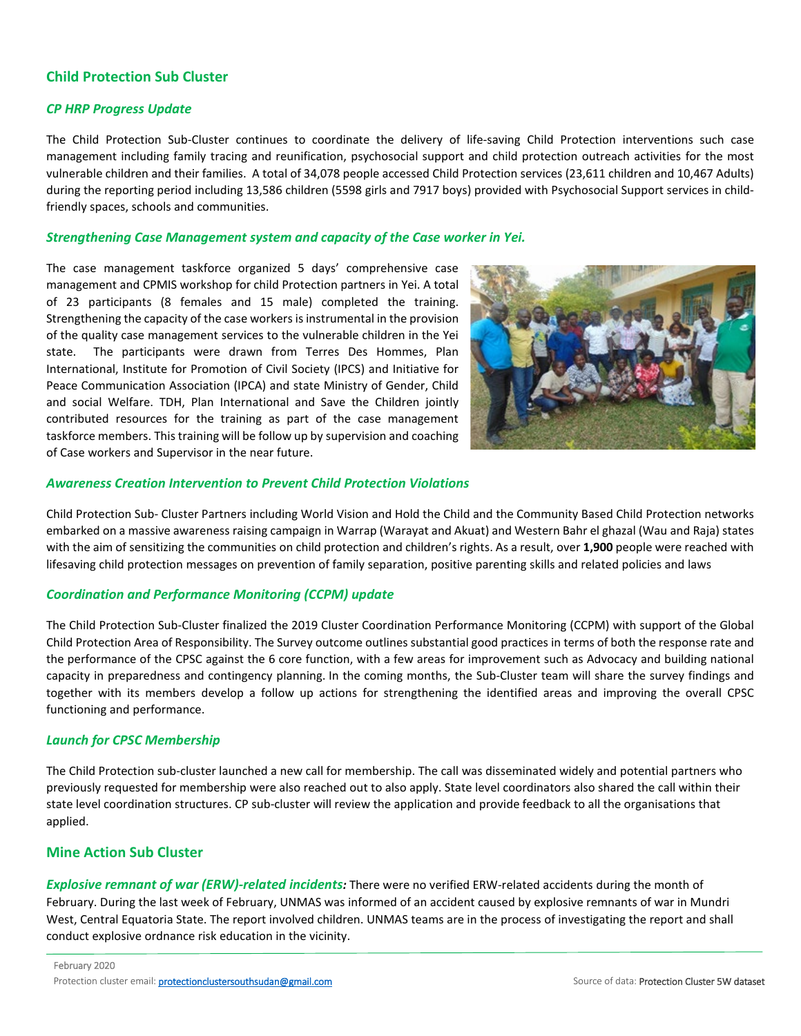## **Child Protection Sub Cluster**

#### *CP HRP Progress Update*

The Child Protection Sub-Cluster continues to coordinate the delivery of life-saving Child Protection interventions such case management including family tracing and reunification, psychosocial support and child protection outreach activities for the most vulnerable children and their families. A total of 34,078 people accessed Child Protection services (23,611 children and 10,467 Adults) during the reporting period including 13,586 children (5598 girls and 7917 boys) provided with Psychosocial Support services in childfriendly spaces, schools and communities.

#### *Strengthening Case Management system and capacity of the Case worker in Yei.*

The case management taskforce organized 5 days' comprehensive case management and CPMIS workshop for child Protection partners in Yei. A total of 23 participants (8 females and 15 male) completed the training. Strengthening the capacity of the case workers is instrumental in the provision of the quality case management services to the vulnerable children in the Yei state. The participants were drawn from Terres Des Hommes, Plan International, Institute for Promotion of Civil Society (IPCS) and Initiative for Peace Communication Association (IPCA) and state Ministry of Gender, Child and social Welfare. TDH, Plan International and Save the Children jointly contributed resources for the training as part of the case management taskforce members. This training will be follow up by supervision and coaching of Case workers and Supervisor in the near future.



#### *Awareness Creation Intervention to Prevent Child Protection Violations*

Child Protection Sub- Cluster Partners including World Vision and Hold the Child and the Community Based Child Protection networks embarked on a massive awareness raising campaign in Warrap (Warayat and Akuat) and Western Bahr el ghazal (Wau and Raja) states with the aim of sensitizing the communities on child protection and children's rights. As a result, over **1,900** people were reached with lifesaving child protection messages on prevention of family separation, positive parenting skills and related policies and laws

#### *Coordination and Performance Monitoring (CCPM) update*

The Child Protection Sub-Cluster finalized the 2019 Cluster Coordination Performance Monitoring (CCPM) with support of the Global Child Protection Area of Responsibility. The Survey outcome outlines substantial good practices in terms of both the response rate and the performance of the CPSC against the 6 core function, with a few areas for improvement such as Advocacy and building national capacity in preparedness and contingency planning. In the coming months, the Sub-Cluster team will share the survey findings and together with its members develop a follow up actions for strengthening the identified areas and improving the overall CPSC functioning and performance.

#### *Launch for CPSC Membership*

The Child Protection sub-cluster launched a new call for membership. The call was disseminated widely and potential partners who previously requested for membership were also reached out to also apply. State level coordinators also shared the call within their state level coordination structures. CP sub-cluster will review the application and provide feedback to all the organisations that applied.

#### **Mine Action Sub Cluster**

*Explosive remnant of war (ERW)-related incidents:* There were no verified ERW-related accidents during the month of February. During the last week of February, UNMAS was informed of an accident caused by explosive remnants of war in Mundri West, Central Equatoria State. The report involved children. UNMAS teams are in the process of investigating the report and shall conduct explosive ordnance risk education in the vicinity.